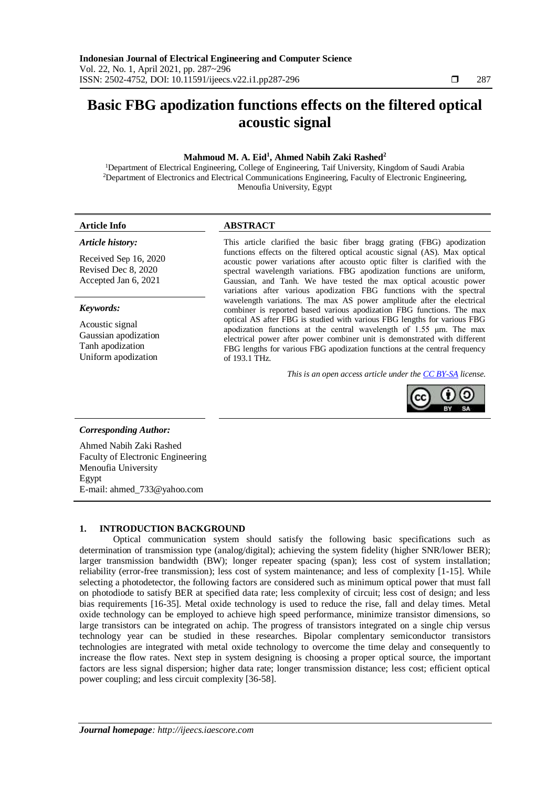# **Basic FBG apodization functions effects on the filtered optical acoustic signal**

# **Mahmoud M. A. Eid<sup>1</sup> , Ahmed Nabih Zaki Rashed<sup>2</sup>**

<sup>1</sup>Department of Electrical Engineering, College of Engineering, Taif University, Kingdom of Saudi Arabia <sup>2</sup>Department of Electronics and Electrical Communications Engineering, Faculty of Electronic Engineering, Menoufia University, Egypt

#### *Article history:*

Received Sep 16, 2020 Revised Dec 8, 2020 Accepted Jan 6, 2021

## *Keywords:*

Acoustic signal Gaussian apodization Tanh apodization Uniform apodization

# **Article Info ABSTRACT**

This article clarified the basic fiber bragg grating (FBG) apodization functions effects on the filtered optical acoustic signal (AS). Max optical acoustic power variations after acousto optic filter is clarified with the spectral wavelength variations. FBG apodization functions are uniform, Gaussian, and Tanh. We have tested the max optical acoustic power variations after various apodization FBG functions with the spectral wavelength variations. The max AS power amplitude after the electrical combiner is reported based various apodization FBG functions. The max optical AS after FBG is studied with various FBG lengths for various FBG apodization functions at the central wavelength of 1.55 μm. The max electrical power after power combiner unit is demonstrated with different FBG lengths for various FBG apodization functions at the central frequency of 193.1 THz.

*This is an open access article under the [CC BY-SA](https://creativecommons.org/licenses/by-sa/4.0/) license.*



#### *Corresponding Author:*

Ahmed Nabih Zaki Rashed Faculty of Electronic Engineering Menoufia University Egypt E-mail: ahmed\_733@yahoo.com

### **1. INTRODUCTION BACKGROUND**

Optical communication system should satisfy the following basic specifications such as determination of transmission type (analog/digital); achieving the system fidelity (higher SNR/lower BER); larger transmission bandwidth (BW); longer repeater spacing (span); less cost of system installation; reliability (error-free transmission); less cost of system maintenance; and less of complexity [1-15]. While selecting a photodetector, the following factors are considered such as minimum optical power that must fall on photodiode to satisfy BER at specified data rate; less complexity of circuit; less cost of design; and less bias requirements [16-35]. Metal oxide technology is used to reduce the rise, fall and delay times. Metal oxide technology can be employed to achieve high speed performance, minimize transistor dimensions, so large transistors can be integrated on achip. The progress of transistors integrated on a single chip versus technology year can be studied in these researches. Bipolar complentary semiconductor transistors technologies are integrated with metal oxide technology to overcome the time delay and consequently to increase the flow rates. Next step in system designing is choosing a proper optical source, the important factors are less signal dispersion; higher data rate; longer transmission distance; less cost; efficient optical power coupling; and less circuit complexity [36-58].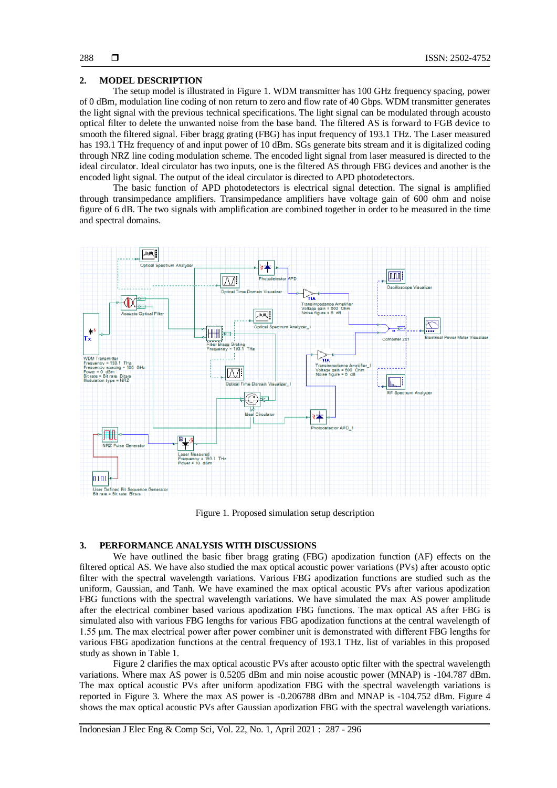### **2. MODEL DESCRIPTION**

The setup model is illustrated in Figure 1. WDM transmitter has 100 GHz frequency spacing, power of 0 dBm, modulation line coding of non return to zero and flow rate of 40 Gbps. WDM transmitter generates the light signal with the previous technical specifications. The light signal can be modulated through acousto optical filter to delete the unwanted noise from the base band. The filtered AS is forward to FGB device to smooth the filtered signal. Fiber bragg grating (FBG) has input frequency of 193.1 THz. The Laser measured has 193.1 THz frequency of and input power of 10 dBm. SGs generate bits stream and it is digitalized coding through NRZ line coding modulation scheme. The encoded light signal from laser measured is directed to the ideal circulator. Ideal circulator has two inputs, one is the filtered AS through FBG devices and another is the encoded light signal. The output of the ideal circulator is directed to APD photodetectors.

The basic function of APD photodetectors is electrical signal detection. The signal is amplified through transimpedance amplifiers. Transimpedance amplifiers have voltage gain of 600 ohm and noise figure of 6 dB. The two signals with amplification are combined together in order to be measured in the time and spectral domains.



Figure 1. Proposed simulation setup description

#### **3. PERFORMANCE ANALYSIS WITH DISCUSSIONS**

We have outlined the basic fiber bragg grating (FBG) apodization function (AF) effects on the filtered optical AS. We have also studied the max optical acoustic power variations (PVs) after acousto optic filter with the spectral wavelength variations. Various FBG apodization functions are studied such as the uniform, Gaussian, and Tanh. We have examined the max optical acoustic PVs after various apodization FBG functions with the spectral wavelength variations. We have simulated the max AS power amplitude after the electrical combiner based various apodization FBG functions. The max optical AS after FBG is simulated also with various FBG lengths for various FBG apodization functions at the central wavelength of 1.55 μm. The max electrical power after power combiner unit is demonstrated with different FBG lengths for various FBG apodization functions at the central frequency of 193.1 THz. list of variables in this proposed study as shown in Table 1.

Figure 2 clarifies the max optical acoustic PVs after acousto optic filter with the spectral wavelength variations. Where max AS power is 0.5205 dBm and min noise acoustic power (MNAP) is -104.787 dBm. The max optical acoustic PVs after uniform apodization FBG with the spectral wavelength variations is reported in Figure 3. Where the max AS power is -0.206788 dBm and MNAP is -104.752 dBm. Figure 4 shows the max optical acoustic PVs after Gaussian apodization FBG with the spectral wavelength variations.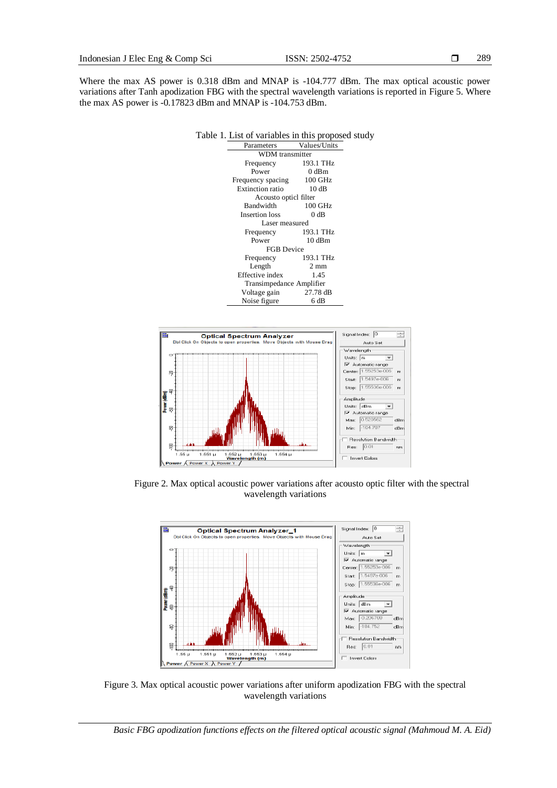Where the max AS power is 0.318 dBm and MNAP is -104.777 dBm. The max optical acoustic power variations after Tanh apodization FBG with the spectral wavelength variations is reported in Figure 5. Where the max AS power is -0.17823 dBm and MNAP is -104.753 dBm.





Figure 2. Max optical acoustic power variations after acousto optic filter with the spectral wavelength variations



Figure 3. Max optical acoustic power variations after uniform apodization FBG with the spectral wavelength variations

*Basic FBG apodization functions effects on the filtered optical acoustic signal (Mahmoud M. A. Eid)*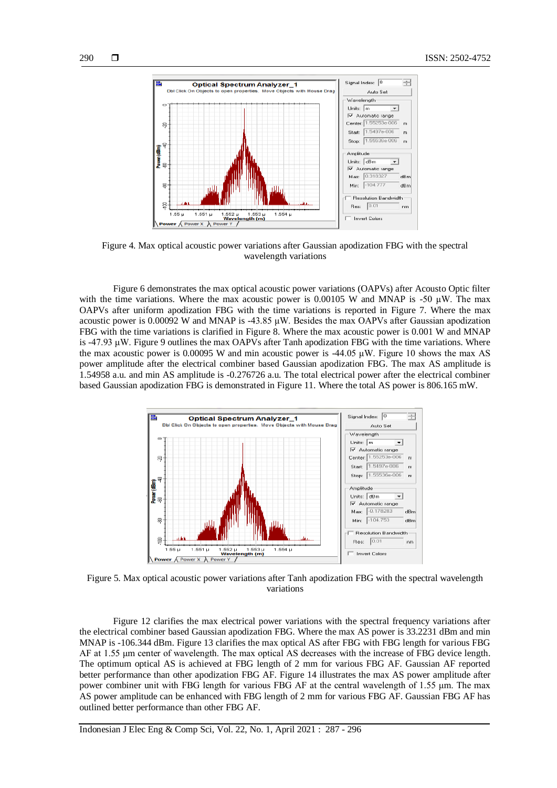

Figure 4. Max optical acoustic power variations after Gaussian apodization FBG with the spectral wavelength variations

Figure 6 demonstrates the max optical acoustic power variations (OAPVs) after Acousto Optic filter with the time variations. Where the max acoustic power is 0.00105 W and MNAP is -50  $\mu$ W. The max OAPVs after uniform apodization FBG with the time variations is reported in Figure 7. Where the max acoustic power is 0.00092 W and MNAP is -43.85 μW. Besides the max OAPVs after Gaussian apodization FBG with the time variations is clarified in Figure 8. Where the max acoustic power is 0.001 W and MNAP is -47.93 μW. Figure 9 outlines the max OAPVs after Tanh apodization FBG with the time variations. Where the max acoustic power is 0.00095 W and min acoustic power is -44.05  $\mu$ W. Figure 10 shows the max AS power amplitude after the electrical combiner based Gaussian apodization FBG. The max AS amplitude is 1.54958 a.u. and min AS amplitude is -0.276726 a.u. The total electrical power after the electrical combiner based Gaussian apodization FBG is demonstrated in Figure 11. Where the total AS power is 806.165 mW.



Figure 5. Max optical acoustic power variations after Tanh apodization FBG with the spectral wavelength variations

Figure 12 clarifies the max electrical power variations with the spectral frequency variations after the electrical combiner based Gaussian apodization FBG. Where the max AS power is 33.2231 dBm and min MNAP is -106.344 dBm. Figure 13 clarifies the max optical AS after FBG with FBG length for various FBG AF at 1.55 μm center of wavelength. The max optical AS decreases with the increase of FBG device length. The optimum optical AS is achieved at FBG length of 2 mm for various FBG AF. Gaussian AF reported better performance than other apodization FBG AF. Figure 14 illustrates the max AS power amplitude after power combiner unit with FBG length for various FBG AF at the central wavelength of 1.55 μm. The max AS power amplitude can be enhanced with FBG length of 2 mm for various FBG AF. Gaussian FBG AF has outlined better performance than other FBG AF.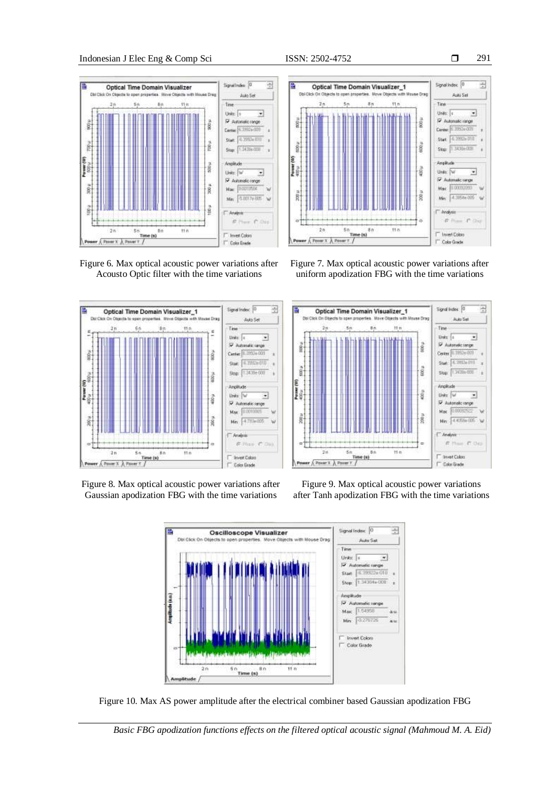





Figure 8. Max optical acoustic power variations after Gaussian apodization FBG with the time variations







*Basic FBG apodization functions effects on the filtered optical acoustic signal (Mahmoud M. A. Eid)*





Time (s)

 $\sqrt{R}$ nerx A P



Color Gorde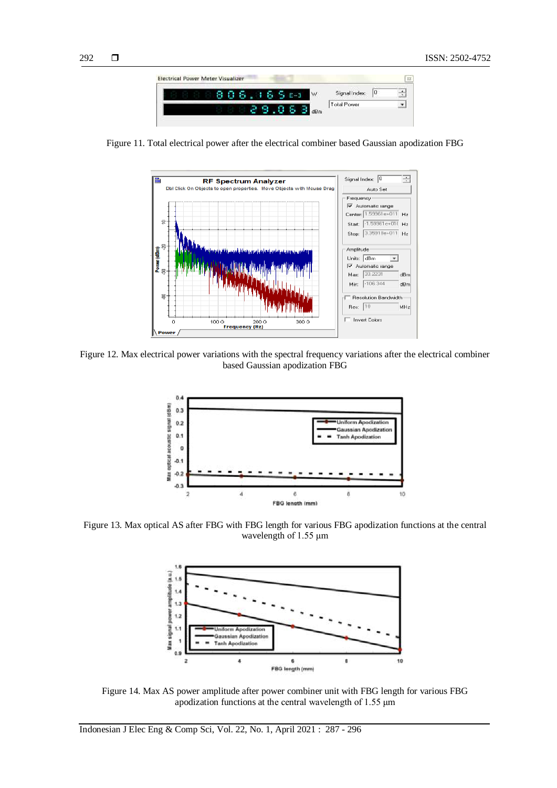

Figure 11. Total electrical power after the electrical combiner based Gaussian apodization FBG



Figure 12. Max electrical power variations with the spectral frequency variations after the electrical combiner based Gaussian apodization FBG



Figure 13. Max optical AS after FBG with FBG length for various FBG apodization functions at the central wavelength of 1.55 μm



Figure 14. Max AS power amplitude after power combiner unit with FBG length for various FBG apodization functions at the central wavelength of 1.55 μm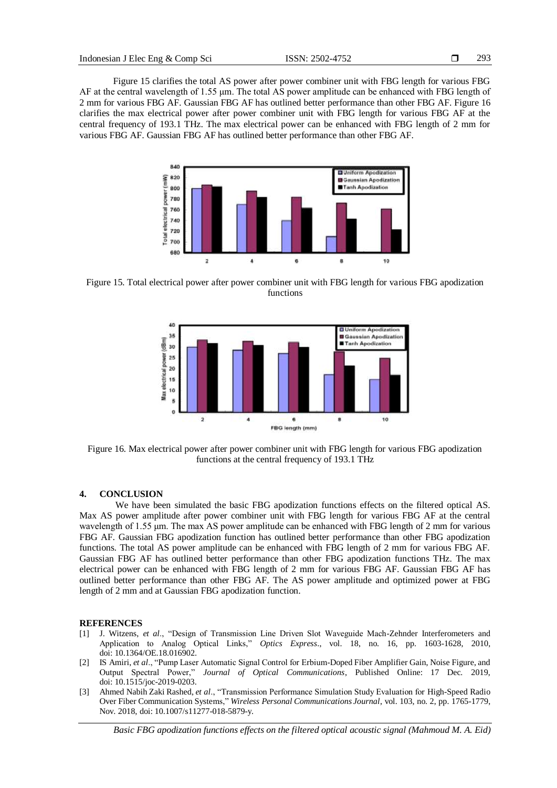Figure 15 clarifies the total AS power after power combiner unit with FBG length for various FBG AF at the central wavelength of 1.55 μm. The total AS power amplitude can be enhanced with FBG length of 2 mm for various FBG AF. Gaussian FBG AF has outlined better performance than other FBG AF. Figure 16 clarifies the max electrical power after power combiner unit with FBG length for various FBG AF at the central frequency of 193.1 THz. The max electrical power can be enhanced with FBG length of 2 mm for various FBG AF. Gaussian FBG AF has outlined better performance than other FBG AF.



Figure 15. Total electrical power after power combiner unit with FBG length for various FBG apodization functions



Figure 16. Max electrical power after power combiner unit with FBG length for various FBG apodization functions at the central frequency of 193.1 THz

#### **4. CONCLUSION**

We have been simulated the basic FBG apodization functions effects on the filtered optical AS. Max AS power amplitude after power combiner unit with FBG length for various FBG AF at the central wavelength of 1.55 μm. The max AS power amplitude can be enhanced with FBG length of 2 mm for various FBG AF. Gaussian FBG apodization function has outlined better performance than other FBG apodization functions. The total AS power amplitude can be enhanced with FBG length of 2 mm for various FBG AF. Gaussian FBG AF has outlined better performance than other FBG apodization functions THz. The max electrical power can be enhanced with FBG length of 2 mm for various FBG AF. Gaussian FBG AF has outlined better performance than other FBG AF. The AS power amplitude and optimized power at FBG length of 2 mm and at Gaussian FBG apodization function.

#### **REFERENCES**

- [1] J. Witzens, *et al*., "Design of Transmission Line Driven Slot Waveguide Mach-Zehnder Interferometers and Application to Analog Optical Links," *Optics Express*., vol. 18, no. 16, pp. 1603-1628, 2010, doi: 10.1364/OE.18.016902.
- [2] IS Amiri, *et al*., "Pump Laser Automatic Signal Control for Erbium-Doped Fiber Amplifier Gain, Noise Figure, and Output Spectral Power," *Journal of Optical Communications*, Published Online: 17 Dec. 2019, doi[: 10.1515/joc-2019-0203.](https://doi.org/10.1515/joc-2019-0159)
- [3] Ahmed Nabih Zaki Rashed, *et al*., "Transmission Performance Simulation Study Evaluation for High-Speed Radio Over Fiber Communication Systems," *Wireless Personal Communications Journal*, vol. 103, no. 2, pp. 1765-1779, Nov. 2018, doi[: 10.1007/s11277-018-5879-y.](https://doi.org/10.1007/s11277-018-5879-y)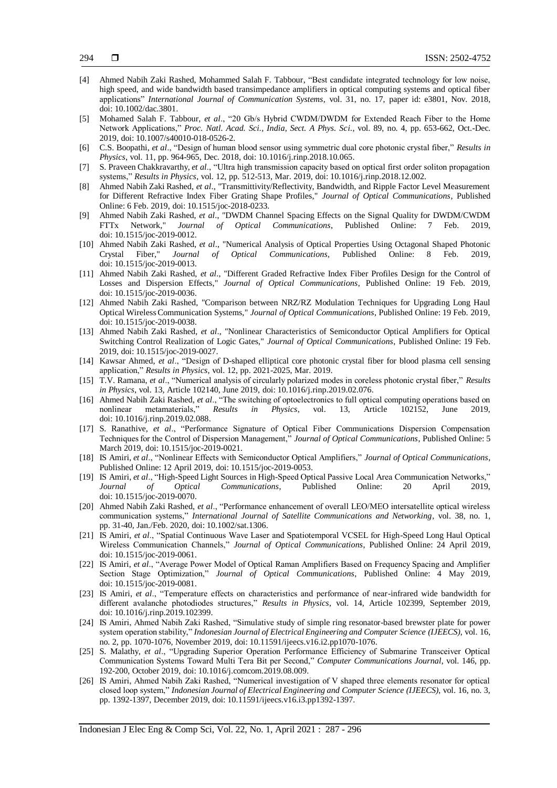- [4] Ahmed Nabih Zaki Rashed, Mohammed Salah F. Tabbour, "Best candidate integrated technology for low noise, high speed, and wide bandwidth based transimpedance amplifiers in optical computing systems and optical fiber applications" *International Journal of Communication Systems*, vol. 31, no. 17, paper id: e3801, Nov. 2018, doi[: 10.1002/dac.3801.](https://doi.org/10.1002/dac.3801)
- [5] Mohamed Salah F. Tabbour, *et al*., "20 Gb/s Hybrid CWDM/DWDM for Extended Reach Fiber to the Home Network Applications," *Proc. Natl. Acad. Sci., India, Sect. A Phys. Sci.*, vol. 89, no. 4, pp. 653-662, Oct.-Dec. 2019, doi[: 10.1007/s40010-018-0526-2.](https://doi.org/10.1007/s40010-018-0526-2)
- [6] C.S. Boopathi, *et al*., "Design of human blood sensor using symmetric dual core photonic crystal fiber," *Results in Physics*, vol. 11, pp. 964-965, Dec. 2018, doi: 10.1016/j.rinp.2018.10.065.
- [7] S. Praveen Chakkravarthy, *et al*., "Ultra high transmission capacity based on optical first order soliton propagation systems," *Results in Physics*, vol. 12, pp. 512-513, Mar. 2019, doi: 10.1016/j.rinp.2018.12.002.
- [8] Ahmed Nabih Zaki Rashed, *et al*., "Transmittivity/Reflectivity, Bandwidth, and Ripple Factor Level Measurement for Different Refractive Index Fiber Grating Shape Profiles," *Journal of Optical Communications*, Published Online: 6 Feb. 2019, doi[: 10.1515/joc-2018-0233.](https://doi.org/10.1515/joc-2018-0233)
- [9] Ahmed Nabih Zaki Rashed, *et al*., "DWDM Channel Spacing Effects on the Signal Quality for DWDM/CWDM FTTx Network," *Journal of Optical Communications*, Published Online: 7 Feb. 2019, doi[: 10.1515/joc-2019-0012.](https://doi.org/10.1515/joc-2019-0012)
- [10] Ahmed Nabih Zaki Rashed, *et al*., "Numerical Analysis of Optical Properties Using Octagonal Shaped Photonic Crystal Fiber," *Journal of Optical Communications*, Published Online: 8 Feb. 2019, doi[: 10.1515/joc-2019-0013.](https://doi.org/10.1515/joc-2019-0013)
- [11] Ahmed Nabih Zaki Rashed, *et al*., "Different Graded Refractive Index Fiber Profiles Design for the Control of Losses and Dispersion Effects," *Journal of Optical Communications*, Published Online: 19 Feb. 2019, doi[: 10.1515/joc-2019-0036.](https://doi.org/10.1515/joc-2019-0036)
- [12] Ahmed Nabih Zaki Rashed, "Comparison between NRZ/RZ Modulation Techniques for Upgrading Long Haul Optical Wireless Communication Systems," *Journal of Optical Communications*, Published Online: 19 Feb. 2019, doi[: 10.1515/joc-2019-0038.](https://doi.org/10.1515/joc-2019-0038)
- [13] Ahmed Nabih Zaki Rashed, *et al*., "Nonlinear Characteristics of Semiconductor Optical Amplifiers for Optical Switching Control Realization of Logic Gates," *Journal of Optical Communications*, Published Online: 19 Feb. 2019, doi[: 10.1515/joc-2019-0027.](https://doi.org/10.1515/joc-2019-0027)
- [14] Kawsar Ahmed, *et al*., "Design of D-shaped elliptical core photonic crystal fiber for blood plasma cell sensing application," *Results in Physics*, vol. 12, pp. 2021-2025, Mar. 2019.
- [15] T.V. Ramana, *et al*., "Numerical analysis of circularly polarized modes in coreless photonic crystal fiber," *Results in Physics*, vol. 13, Article 102140, June 2019, do[i: 10.1016/j.rinp.2019.02.076](https://doi.org/10.1016/j.rinp.2019.02.076).
- [16] Ahmed Nabih Zaki Rashed, *et al*., "The switching of optoelectronics to full optical computing operations based on nonlinear metamaterials," *Results in Physics*, vol. 13, Article 102152, June doi[: 10.1016/j.rinp.2019.02.088](https://doi.org/10.1016/j.rinp.2019.02.088).
- [17] S. Ranathive, *et al*., "Performance Signature of Optical Fiber Communications Dispersion Compensation Techniques for the Control of Dispersion Management," *Journal of Optical Communications*, Published Online: 5 March 2019, doi[: 10.1515/joc-2019-0021.](https://doi.org/10.1515/joc-2019-0021)
- [18] IS Amiri, *et al*., "Nonlinear Effects with Semiconductor Optical Amplifiers," *Journal of Optical Communications*, Published Online: 12 April 2019, do[i: 10.1515/joc-2019-0053](https://doi.org/10.1515/joc-2019-0053).
- [19] IS Amiri, *et al*., "High-Speed Light Sources in High-Speed Optical Passive Local Area Communication Networks," *Journal of Optical Communications*, Published Online: 20 April 2019, doi[: 10.1515/joc-2019-0070.](https://doi.org/10.1515/joc-2019-0070)
- [20] Ahmed Nabih Zaki Rashed, *et al*., "Performance enhancement of overall LEO/MEO intersatellite optical wireless communication systems," *International Journal of Satellite Communications and Networking*, vol. 38, no. 1, pp. 31-40, Jan./Feb. 2020, doi: 10.1002/sat.1306.
- [21] IS Amiri, *et al*., "Spatial Continuous Wave Laser and Spatiotemporal VCSEL for High-Speed Long Haul Optical Wireless Communication Channels," *Journal of Optical Communications*, Published Online: 24 April 2019, doi[: 10.1515/joc-2019-0061.](https://doi.org/10.1515/joc-2019-0061)
- [22] IS Amiri, *et al*., "Average Power Model of Optical Raman Amplifiers Based on Frequency Spacing and Amplifier Section Stage Optimization," *Journal of Optical Communications*, Published Online: 4 May 2019, doi[: 10.1515/joc-2019-0081.](https://doi.org/10.1515/joc-2019-0070)
- [23] IS Amiri, *et al*., "Temperature effects on characteristics and performance of near-infrared wide bandwidth for different avalanche photodiodes structures," *Results in Physics*, vol. 14, Article 102399, September 2019, doi[: 10.1016/j.rinp.2019.102399](https://doi.org/10.1016/j.rinp.2019.102399).
- [24] IS Amiri, Ahmed Nabih Zaki Rashed, "Simulative study of simple ring resonator-based brewster plate for power system operation stability," *Indonesian Journal of Electrical Engineering and Computer Science (IJEECS)*, vol. 16, no. 2, pp. 1070-1076, November 2019, doi: 10.11591/ijeecs.v16.i2.pp1070-1076.
- [25] S. Malathy, *et al*., "Upgrading Superior Operation Performance Efficiency of Submarine Transceiver Optical Communication Systems Toward Multi Tera Bit per Second," *Computer Communications Journal*, vol. 146, pp. 192-200, October 2019, doi[: 10.1016/j.comcom.2019.08.009.](http://doi.org./10.1016/j.comcom.2019.08.009)
- [26] IS Amiri, Ahmed Nabih Zaki Rashed, "Numerical investigation of V shaped three elements resonator for optical closed loop system," *Indonesian Journal of Electrical Engineering and Computer Science (IJEECS)*, vol. 16, no. 3, pp. 1392-1397, December 2019, doi: 10.11591/ijeecs.v16.i3.pp1392-1397.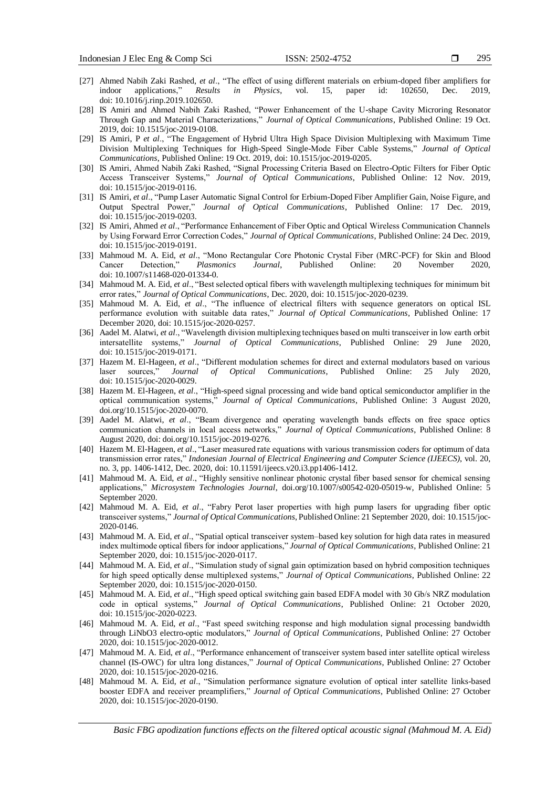- 295
- [27] Ahmed Nabih Zaki Rashed, *et al*., "The effect of using different materials on erbium-doped fiber amplifiers for indoor applications," *Results in Physics*, vol. 15, paper id: 102650, Dec. 2019, doi[: 10.1016/j.rinp.2019.102650](https://doi.org/10.1016/j.rinp.2019.102650).
- [28] IS Amiri and Ahmed Nabih Zaki Rashed, "Power Enhancement of the U-shape Cavity Microring Resonator Through Gap and Material Characterizations," *Journal of Optical Communications*, Published Online: 19 Oct. 2019, doi[: 10.1515/joc-2019-0108.](https://doi.org/10.1515/joc-2019-0108)
- [29] IS Amiri, P *et al*., "The Engagement of Hybrid Ultra High Space Division Multiplexing with Maximum Time Division Multiplexing Techniques for High-Speed Single-Mode Fiber Cable Systems," *Journal of Optical Communications*, Published Online: 19 Oct. 2019, do[i: 10.1515/joc-2019-0205](https://doi.org/10.1515/joc-2019-0205).
- [30] IS Amiri, Ahmed Nabih Zaki Rashed, "Signal Processing Criteria Based on Electro-Optic Filters for Fiber Optic Access Transceiver Systems," *Journal of Optical Communications*, Published Online: 12 Nov. 2019, doi: 10.1515/joc-2019-0116.
- [31] IS Amiri, *et al*., "Pump Laser Automatic Signal Control for Erbium-Doped Fiber Amplifier Gain, Noise Figure, and Output Spectral Power," *Journal of Optical Communications*, Published Online: 17 Dec. 2019, doi[: 10.1515/joc-2019-0203.](https://doi.org/10.1515/joc-2019-0159)
- [32] IS Amiri, Ahmed *et al*., "Performance Enhancement of Fiber Optic and Optical Wireless Communication Channels by Using Forward Error Correction Codes," *Journal of Optical Communications*, Published Online: 24 Dec. 2019, doi: 10.1515/joc-2019-0191.
- [33] Mahmoud M. A. Eid, *et al*., "Mono Rectangular Core Photonic Crystal Fiber (MRC-PCF) for Skin and Blood Cancer Detection," *Plasmonics Journal*, Published Online: 20 November 2020, doi: 10.1007/s11468-020-01334-0.
- [34] Mahmoud M. A. Eid, *et al*., "Best selected optical fibers with wavelength multiplexing techniques for minimum bit error rates," *Journal of Optical Communications*, Dec. 2020, doi: 10.1515/joc-2020-0239.
- [35] Mahmoud M. A. Eid, *et al*., "The influence of electrical filters with sequence generators on optical ISL performance evolution with suitable data rates," *Journal of Optical Communications*, Published Online: 17 December 2020, doi: 10.1515/joc-2020-0257.
- [36] Aadel M. Alatwi, *et al*., "Wavelength division multiplexing techniques based on multi transceiver in low earth orbit intersatellite systems," *Journal of Optical Communications*, Published Online: 29 June 2020, doi[: 10.1515/joc-2019-0171.](https://doi.org/10.1515/joc-2019-0171)
- [37] Hazem M. El-Hageen, *et al*., "Different modulation schemes for direct and external modulators based on various laser sources," *Journal of Optical Communications*, Published Online: 25 July 2020, doi[: 10.1515/joc-2020-0029.](https://doi.org/10.1515/joc-2019-0171)
- [38] Hazem M. El-Hageen, *et al*., "High-speed signal processing and wide band optical semiconductor amplifier in the optical communication systems," *Journal of Optical Communications*, Published Online: 3 August 2020, doi.org/10.1515/joc-2020-0070.
- [39] Aadel M. Alatwi, *et al*., "Beam divergence and operating wavelength bands effects on free space optics communication channels in local access networks," *Journal of Optical Communications*, Published Online: 8 August 2020, doi: [doi.org/10.1515/joc-2019-0276.](https://doi.org/10.1515/joc-2019-0276)
- [40] Hazem M. El-Hageen, *et al*., "Laser measured rate equations with various transmission coders for optimum of data transmission error rates," *Indonesian Journal of Electrical Engineering and Computer Science (IJEECS)*, vol. 20, no. 3, pp. 1406-1412, Dec. 2020, doi: 10.11591/ijeecs.v20.i3.pp1406-1412.
- [41] Mahmoud M. A. Eid, *et al*., "Highly sensitive nonlinear photonic crystal fiber based sensor for chemical sensing applications," *Microsystem Technologies Journal*, [doi.org/10.1007/s00542-020-05019-w,](https://doi.org/10.1007/s00542-020-05019-w) Published Online: 5 September 2020.
- [42] Mahmoud M. A. Eid, *et al*., "Fabry Perot laser properties with high pump lasers for upgrading fiber optic transceiver systems," *Journal of Optical Communications*, Published Online: 21 September 2020, doi: [10.1515/joc-](https://doi.org/10.1515/joc-2020-0146)[2020-0146.](https://doi.org/10.1515/joc-2020-0146)
- [43] Mahmoud M. A. Eid, *et al*., "Spatial optical transceiver system–based key solution for high data rates in measured index multimode optical fibers for indoor applications," *Journal of Optical Communications*, Published Online: 21 September 2020, doi: [10.1515/joc-2020-0117.](https://doi.org/10.1515/joc-2020-0146)
- [44] Mahmoud M. A. Eid, *et al*., "Simulation study of signal gain optimization based on hybrid composition techniques for high speed optically dense multiplexed systems," *Journal of Optical Communications*, Published Online: 22 September 2020, doi: 10.1515/joc-2020-0150.
- [45] Mahmoud M. A. Eid, *et al*., "High speed optical switching gain based EDFA model with 30 Gb/s NRZ modulation code in optical systems," *Journal of Optical Communications*, Published Online: 21 October 2020, [doi: 10.1515/joc-2020-0223.](https://doi.org/10.1515/joc-2020-0223)
- [46] Mahmoud M. A. Eid, *et al*., "Fast speed switching response and high modulation signal processing bandwidth through LiNbO3 electro-optic modulators," *Journal of Optical Communications*, Published Online: 27 October 2020, [doi: 10.1515/joc-2020-0012.](https://doi.org/10.1515/joc-2020-0223)
- [47] Mahmoud M. A. Eid, *et al*., "Performance enhancement of transceiver system based inter satellite optical wireless channel (IS-OWC) for ultra long distances," *Journal of Optical Communications*, Published Online: 27 October 2020, [doi: 10.1515/joc-2020-0216.](https://doi.org/10.1515/joc-2020-0223)
- [48] Mahmoud M. A. Eid, *et al*., "Simulation performance signature evolution of optical inter satellite links-based booster EDFA and receiver preamplifiers," *Journal of Optical Communications*, Published Online: 27 October 2020, [doi: 10.1515/joc-2020-0190.](https://doi.org/10.1515/joc-2020-0190)